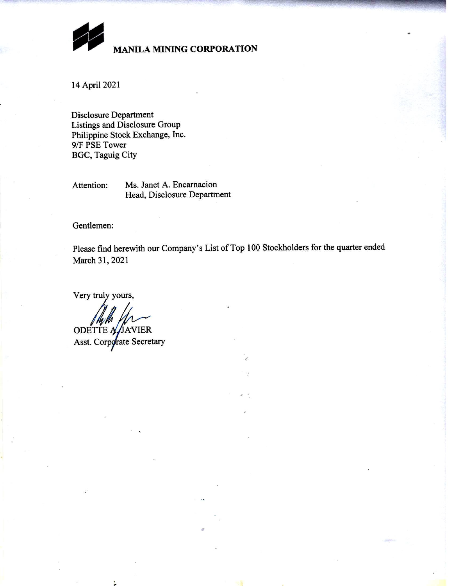

## **MANILA MINING CORPORATION**

14 April 2021

**Disclosure Department** Listings and Disclosure Group Philippine Stock Exchange, Inc. 9/F PSE Tower **BGC, Taguig City** 

Ms. Janet A. Encarnacion Attention: Head, Disclosure Department

Gentlemen:

Please find herewith our Company's List of Top 100 Stockholders for the quarter ended March 31, 2021

Very truly yours,

ODETTE A JAVIER

Asst. Corporate Secretary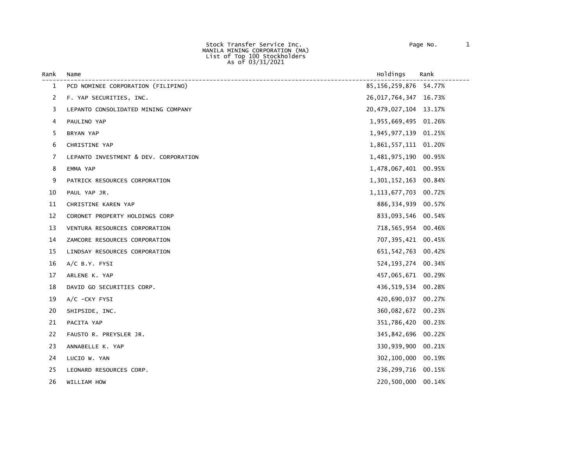Stock Transfer Service Inc. Page No. 1 MANILA MINING CORPORATION (MA) List of Top 100 Stockholders As of 03/31/2021

| Rank | Name                                  | Holdings                  | Rank   |
|------|---------------------------------------|---------------------------|--------|
| 1    | PCD NOMINEE CORPORATION (FILIPINO)    | 85, 156, 259, 876 54. 77% |        |
| 2    | F. YAP SECURITIES, INC.               | 26,017,764,347            | 16.73% |
| 3    | LEPANTO CONSOLIDATED MINING COMPANY   | 20, 479, 027, 104 13. 17% |        |
| 4    | PAULINO YAP                           | 1,955,669,495 01.26%      |        |
| 5    | BRYAN YAP                             | 1,945,977,139 01.25%      |        |
| 6    | CHRISTINE YAP                         | 1,861,557,111 01.20%      |        |
| 7    | LEPANTO INVESTMENT & DEV. CORPORATION | 1,481,975,190             | 00.95% |
| 8    | EMMA YAP                              | 1,478,067,401             | 00.95% |
| 9    | PATRICK RESOURCES CORPORATION         | 1,301,152,163 00.84%      |        |
| 10   | PAUL YAP JR.                          | 1, 113, 677, 703 00. 72%  |        |
| 11   | CHRISTINE KAREN YAP                   | 886, 334, 939 00.57%      |        |
| 12   | CORONET PROPERTY HOLDINGS CORP        | 833,093,546               | 00.54% |
| 13   | VENTURA RESOURCES CORPORATION         | 718,565,954 00.46%        |        |
| 14   | ZAMCORE RESOURCES CORPORATION         | 707, 395, 421 00.45%      |        |
| 15   | LINDSAY RESOURCES CORPORATION         | 651, 542, 763 00.42%      |        |
| 16   | A/C B.Y. FYSI                         | 524, 193, 274 00.34%      |        |
| 17   | ARLENE K. YAP                         | 457,065,671 00.29%        |        |
| 18   | DAVID GO SECURITIES CORP.             | 436,519,534 00.28%        |        |
| 19   | A/C -CKY FYSI                         | 420,690,037               | 00.27% |
| 20   | SHIPSIDE, INC.                        | 360,082,672               | 00.23% |
| 21   | PACITA YAP                            | 351,786,420               | 00.23% |
| 22   | FAUSTO R. PREYSLER JR.                | 345,842,696               | 00.22% |
| 23   | ANNABELLE K. YAP                      | 330,939,900               | 00.21% |
| 24   | LUCIO W. YAN                          | 302,100,000               | 00.19% |
| 25   | LEONARD RESOURCES CORP.               | 236, 299, 716 00.15%      |        |
| 26   | WILLIAM HOW                           | 220,500,000               | 00.14% |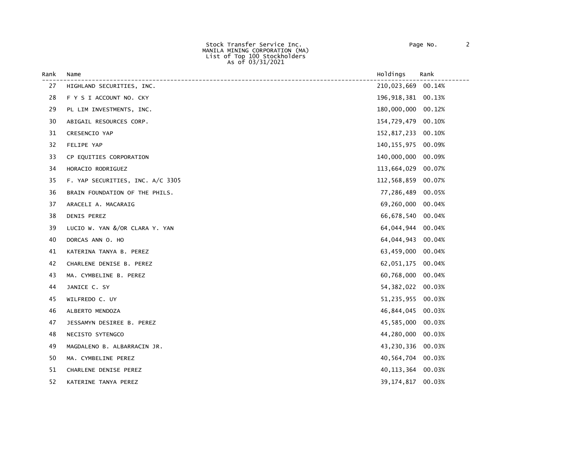Stock Transfer Service Inc. Page No. 2 MANILA MINING CORPORATION (MA) List of Top 100 Stockholders As of 03/31/2021

| Rank | Name                             | Holdings              | Rank   |
|------|----------------------------------|-----------------------|--------|
| 27   | HIGHLAND SECURITIES, INC.        | 210,023,669 00.14%    |        |
| 28   | F Y S I ACCOUNT NO. CKY          | 196, 918, 381 00. 13% |        |
| 29   | PL LIM INVESTMENTS, INC.         | 180,000,000           | 00.12% |
| 30   | ABIGAIL RESOURCES CORP.          | 154,729,479           | 00.10% |
| 31   | CRESENCIO YAP                    | 152,817,233 00.10%    |        |
| 32   | FELIPE YAP                       | 140, 155, 975         | 00.09% |
| 33   | CP EQUITIES CORPORATION          | 140,000,000           | 00.09% |
| 34   | HORACIO RODRIGUEZ                | 113,664,029           | 00.07% |
| 35   | F. YAP SECURITIES, INC. A/C 3305 | 112,568,859           | 00.07% |
| 36   | BRAIN FOUNDATION OF THE PHILS.   | 77,286,489            | 00.05% |
| 37   | ARACELI A. MACARAIG              | 69,260,000            | 00.04% |
| 38   | DENIS PEREZ                      | 66,678,540            | 00.04% |
| 39   | LUCIO W. YAN &/OR CLARA Y. YAN   | 64,044,944            | 00.04% |
| 40   | DORCAS ANN O. HO                 | 64,044,943            | 00.04% |
| 41   | KATERINA TANYA B. PEREZ          | 63,459,000            | 00.04% |
| 42   | CHARLENE DENISE B. PEREZ         | 62,051,175            | 00.04% |
| 43   | MA. CYMBELINE B. PEREZ           | 60,768,000            | 00.04% |
| 44   | JANICE C. SY                     | 54, 382, 022 00.03%   |        |
| 45   | WILFREDO C. UY                   | 51, 235, 955          | 00.03% |
| 46   | ALBERTO MENDOZA                  | 46,844,045            | 00.03% |
| 47   | JESSAMYN DESIREE B. PEREZ        | 45,585,000            | 00.03% |
| 48   | NECISTO SYTENGCO                 | 44,280,000            | 00.03% |
| 49   | MAGDALENO B. ALBARRACIN JR.      | 43,230,336 00.03%     |        |
| 50   | MA. CYMBELINE PEREZ              | 40,564,704            | 00.03% |
| 51   | CHARLENE DENISE PEREZ            | 40, 113, 364          | 00.03% |
| 52   | KATERINE TANYA PEREZ             | 39,174,817            | 00.03% |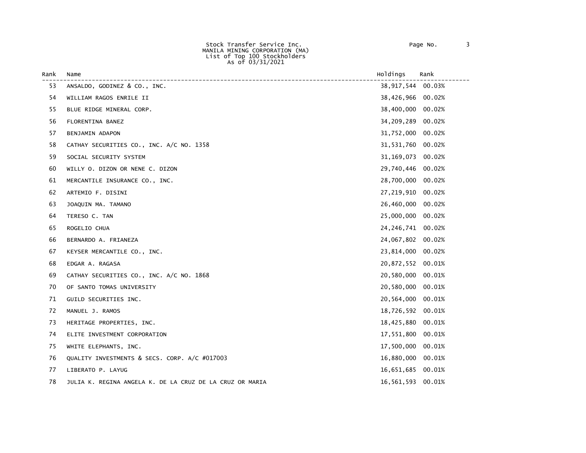Stock Transfer Service Inc. Page No. 3 MANILA MINING CORPORATION (MA) List of Top 100 Stockholders As of 03/31/2021

| Rank | Name                                                     | Holdings            | Rank   |
|------|----------------------------------------------------------|---------------------|--------|
| 53   | ANSALDO, GODINEZ & CO., INC.                             | 38,917,544          | 00.03% |
| 54   | WILLIAM RAGOS ENRILE II                                  | 38,426,966          | 00.02% |
| 55   | BLUE RIDGE MINERAL CORP.                                 | 38,400,000          | 00.02% |
| 56   | FLORENTINA BANEZ                                         | 34,209,289          | 00.02% |
| 57   | BENJAMIN ADAPON                                          | 31,752,000          | 00.02% |
| 58   | CATHAY SECURITIES CO., INC. A/C NO. 1358                 | 31,531,760          | 00.02% |
| 59   | SOCIAL SECURITY SYSTEM                                   | 31, 169, 073        | 00.02% |
| 60   | WILLY O. DIZON OR NENE C. DIZON                          | 29,740,446          | 00.02% |
| 61   | MERCANTILE INSURANCE CO., INC.                           | 28,700,000          | 00.02% |
| 62   | ARTEMIO F. DISINI                                        | 27,219,910          | 00.02% |
| 63   | JOAQUIN MA. TAMANO                                       | 26,460,000          | 00.02% |
| 64   | TERESO C. TAN                                            | 25,000,000          | 00.02% |
| 65   | ROGELIO CHUA                                             | 24, 246, 741 00.02% |        |
| 66   | BERNARDO A. FRIANEZA                                     | 24,067,802          | 00.02% |
| 67   | KEYSER MERCANTILE CO., INC.                              | 23,814,000          | 00.02% |
| 68   | EDGAR A. RAGASA                                          | 20,872,552          | 00.01% |
| 69   | CATHAY SECURITIES CO., INC. A/C NO. 1868                 | 20,580,000          | 00.01% |
| 70   | OF SANTO TOMAS UNIVERSITY                                | 20,580,000          | 00.01% |
| 71   | GUILD SECURITIES INC.                                    | 20,564,000          | 00.01% |
| 72   | MANUEL J. RAMOS                                          | 18,726,592          | 00.01% |
| 73   | HERITAGE PROPERTIES, INC.                                | 18,425,880          | 00.01% |
| 74   | ELITE INVESTMENT CORPORATION                             | 17,551,800          | 00.01% |
| 75   | WHITE ELEPHANTS, INC.                                    | 17,500,000          | 00.01% |
| 76   | QUALITY INVESTMENTS & SECS. CORP. A/C #017003            | 16,880,000          | 00.01% |
| 77   | LIBERATO P. LAYUG                                        | 16,651,685          | 00.01% |
| 78   | JULIA K. REGINA ANGELA K. DE LA CRUZ DE LA CRUZ OR MARIA | 16,561,593          | 00.01% |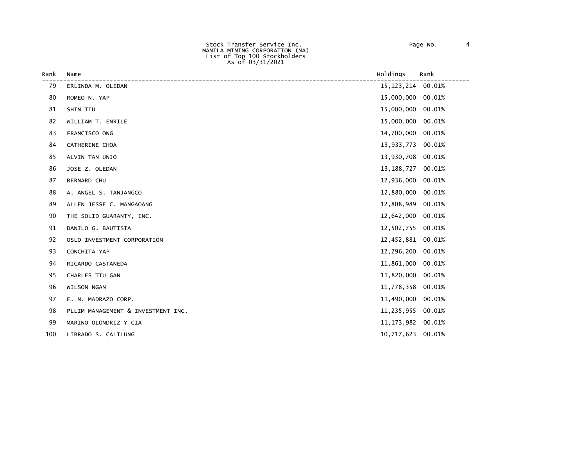Stock Transfer Service Inc. Page No. 4 MANILA MINING CORPORATION (MA) List of Top 100 Stockholders As of 03/31/2021

| Rank | Name                               | Holdings            | Rank   |
|------|------------------------------------|---------------------|--------|
| 79   | ERLINDA M. OLEDAN                  | 15, 123, 214        | 00.01% |
| 80   | ROMEO N. YAP                       | 15,000,000 00.01%   |        |
| 81   | SHIN TIU                           | 15,000,000 00.01%   |        |
| 82   | WILLIAM T. ENRILE                  | 15,000,000          | 00.01% |
| 83   | FRANCISCO ONG                      | 14,700,000 00.01%   |        |
| 84   | CATHERINE CHOA                     | 13,933,773 00.01%   |        |
| 85   | ALVIN TAN UNJO                     | 13,930,708 00.01%   |        |
| 86   | JOSE Z. OLEDAN                     | 13, 188, 727 00.01% |        |
| 87   | <b>BERNARD CHU</b>                 | 12,936,000          | 00.01% |
| 88   | A. ANGEL S. TANJANGCO              | 12,880,000          | 00.01% |
| 89   | ALLEN JESSE C. MANGAOANG           | 12,808,989          | 00.01% |
| 90   | THE SOLID GUARANTY, INC.           | 12,642,000          | 00.01% |
| 91   | DANILO G. BAUTISTA                 | 12,502,755 00.01%   |        |
| 92   | OSLO INVESTMENT CORPORATION        | 12,452,881 00.01%   |        |
| 93   | CONCHITA YAP                       | 12,296,200 00.01%   |        |
| 94   | RICARDO CASTANEDA                  | 11,861,000 00.01%   |        |
| 95   | CHARLES TIU GAN                    | 11,820,000 00.01%   |        |
| 96   | WILSON NGAN                        | 11,778,358          | 00.01% |
| 97   | E. N. MADRAZO CORP.                | 11,490,000          | 00.01% |
| 98   | PLLIM MANAGEMENT & INVESTMENT INC. | 11,235,955 00.01%   |        |
| 99   | MARINO OLONDRIZ Y CIA              | 11, 173, 982 00.01% |        |
| 100  | LIBRADO S. CALILUNG                | 10,717,623 00.01%   |        |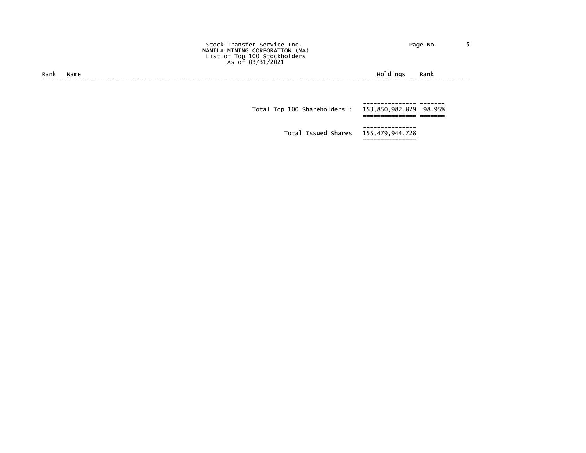|  | Page No. |  |
|--|----------|--|
|  |          |  |

 Stock Transfer Service Inc. Page No. 5 MANILA MINING CORPORATION (MA) List of Top 100 Stockholders As of 03/31/2021

Rank Name Holdings Rank ------------------------------------------------------------------------------------------------------------------------

 --------------- ------- Total Top 100 Shareholders : 153,850,982,829 98.95% =============== ======= --------------- Total Issued Shares 155,479,944,728 ===============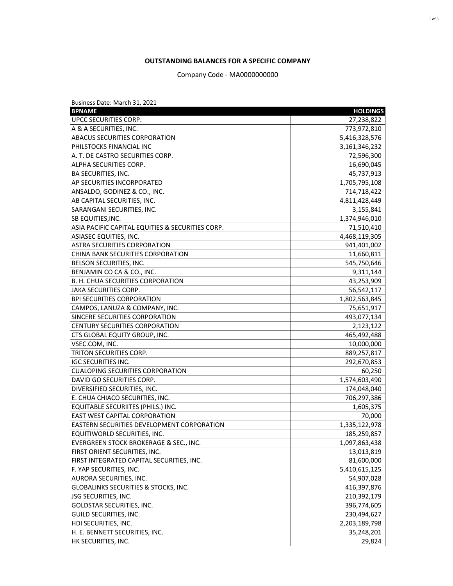## **OUTSTANDING BALANCES FOR A SPECIFIC COMPANY**

Company Code - MA0000000000

| Business Date: March 31, 2021                     |                 |
|---------------------------------------------------|-----------------|
| <b>BPNAME</b>                                     | <b>HOLDINGS</b> |
| <b>UPCC SECURITIES CORP.</b>                      | 27,238,822      |
| A & A SECURITIES, INC.                            | 773,972,810     |
| ABACUS SECURITIES CORPORATION                     | 5,416,328,576   |
| PHILSTOCKS FINANCIAL INC                          | 3,161,346,232   |
| A. T. DE CASTRO SECURITIES CORP.                  | 72,596,300      |
| ALPHA SECURITIES CORP.                            | 16,690,045      |
| <b>BA SECURITIES, INC.</b>                        | 45,737,913      |
| AP SECURITIES INCORPORATED                        | 1,705,795,108   |
| ANSALDO, GODINEZ & CO., INC.                      | 714,718,422     |
| AB CAPITAL SECURITIES, INC.                       | 4,811,428,449   |
| SARANGANI SECURITIES, INC.                        | 3,155,841       |
| SB EQUITIES, INC.                                 | 1,374,946,010   |
| ASIA PACIFIC CAPITAL EQUITIES & SECURITIES CORP.  | 71,510,410      |
| ASIASEC EQUITIES, INC.                            | 4,468,119,305   |
| <b>ASTRA SECURITIES CORPORATION</b>               | 941,401,002     |
| CHINA BANK SECURITIES CORPORATION                 | 11,660,811      |
| BELSON SECURITIES, INC.                           | 545,750,646     |
| BENJAMIN CO CA & CO., INC.                        | 9,311,144       |
| B. H. CHUA SECURITIES CORPORATION                 | 43,253,909      |
| <b>JAKA SECURITIES CORP.</b>                      | 56,542,117      |
| <b>BPI SECURITIES CORPORATION</b>                 | 1,802,563,845   |
| CAMPOS, LANUZA & COMPANY, INC.                    | 75,651,917      |
| SINCERE SECURITIES CORPORATION                    | 493,077,134     |
| <b>CENTURY SECURITIES CORPORATION</b>             | 2,123,122       |
| CTS GLOBAL EQUITY GROUP, INC.                     | 465,492,488     |
| VSEC.COM, INC.                                    | 10,000,000      |
| TRITON SECURITIES CORP.                           | 889,257,817     |
| <b>IGC SECURITIES INC.</b>                        | 292,670,853     |
| <b>CUALOPING SECURITIES CORPORATION</b>           | 60,250          |
| DAVID GO SECURITIES CORP.                         | 1,574,603,490   |
| DIVERSIFIED SECURITIES, INC.                      | 174,048,040     |
| E. CHUA CHIACO SECURITIES, INC.                   | 706,297,386     |
| EQUITABLE SECURIITES (PHILS.) INC.                | 1,605,375       |
| <b>EAST WEST CAPITAL CORPORATION</b>              | 70,000          |
| <b>EASTERN SECURITIES DEVELOPMENT CORPORATION</b> | 1,335,122,978   |
| EQUITIWORLD SECURITIES, INC.                      | 185,259,857     |
| EVERGREEN STOCK BROKERAGE & SEC., INC.            | 1,097,863,438   |
| FIRST ORIENT SECURITIES, INC.                     | 13,013,819      |
| FIRST INTEGRATED CAPITAL SECURITIES, INC.         | 81,600,000      |
| F. YAP SECURITIES, INC.                           | 5,410,615,125   |
| AURORA SECURITIES, INC.                           | 54,907,028      |
| <b>GLOBALINKS SECURITIES &amp; STOCKS, INC.</b>   | 416,397,876     |
| JSG SECURITIES, INC.                              | 210,392,179     |
| <b>GOLDSTAR SECURITIES, INC.</b>                  | 396,774,605     |
| GUILD SECURITIES, INC.                            | 230,494,627     |
| HDI SECURITIES, INC.                              | 2,203,189,798   |
| H. E. BENNETT SECURITIES, INC.                    | 35,248,201      |
| HK SECURITIES, INC.                               | 29,824          |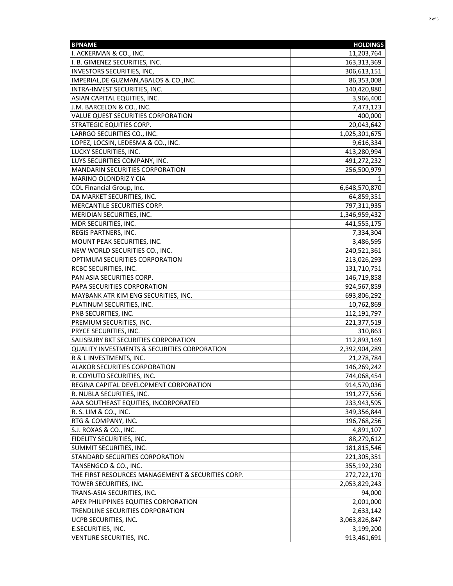| <b>BPNAME</b>                                     | <b>HOLDINGS</b> |
|---------------------------------------------------|-----------------|
| I. ACKERMAN & CO., INC.                           | 11,203,764      |
| I. B. GIMENEZ SECURITIES, INC.                    | 163,313,369     |
| INVESTORS SECURITIES, INC,                        | 306,613,151     |
| IMPERIAL, DE GUZMAN, ABALOS & CO., INC.           | 86,353,008      |
| INTRA-INVEST SECURITIES, INC.                     | 140,420,880     |
| ASIAN CAPITAL EQUITIES, INC.                      | 3,966,400       |
| J.M. BARCELON & CO., INC.                         | 7,473,123       |
| VALUE QUEST SECURITIES CORPORATION                | 400,000         |
| <b>STRATEGIC EQUITIES CORP.</b>                   | 20,043,642      |
| LARRGO SECURITIES CO., INC.                       | 1,025,301,675   |
| LOPEZ, LOCSIN, LEDESMA & CO., INC.                | 9,616,334       |
| LUCKY SECURITIES, INC.                            | 413,280,994     |
| LUYS SECURITIES COMPANY, INC.                     | 491,272,232     |
| MANDARIN SECURITIES CORPORATION                   | 256,500,979     |
| <b>MARINO OLONDRIZ Y CIA</b>                      | 1               |
| COL Financial Group, Inc.                         | 6,648,570,870   |
| DA MARKET SECURITIES, INC.                        | 64,859,351      |
| MERCANTILE SECURITIES CORP.                       | 797,311,935     |
| MERIDIAN SECURITIES, INC.                         | 1,346,959,432   |
| MDR SECURITIES, INC.                              | 441,555,175     |
| <b>REGIS PARTNERS, INC.</b>                       | 7,334,304       |
| MOUNT PEAK SECURITIES, INC.                       | 3,486,595       |
| NEW WORLD SECURITIES CO., INC.                    | 240,521,361     |
| OPTIMUM SECURITIES CORPORATION                    | 213,026,293     |
| <b>RCBC SECURITIES, INC.</b>                      | 131,710,751     |
| PAN ASIA SECURITIES CORP.                         | 146,719,858     |
| PAPA SECURITIES CORPORATION                       | 924,567,859     |
| MAYBANK ATR KIM ENG SECURITIES, INC.              | 693,806,292     |
| PLATINUM SECURITIES, INC.                         | 10,762,869      |
| PNB SECURITIES, INC.                              | 112,191,797     |
| PREMIUM SECURITIES, INC.                          | 221,377,519     |
| PRYCE SECURITIES, INC.                            | 310,863         |
| SALISBURY BKT SECURITIES CORPORATION              | 112,893,169     |
| QUALITY INVESTMENTS & SECURITIES CORPORATION      | 2,392,904,289   |
| R & L INVESTMENTS, INC.                           | 21,278,784      |
| <b>ALAKOR SECURITIES CORPORATION</b>              | 146,269,242     |
| R. COYIUTO SECURITIES, INC.                       | 744,068,454     |
| REGINA CAPITAL DEVELOPMENT CORPORATION            | 914,570,036     |
| R. NUBLA SECURITIES, INC.                         | 191,277,556     |
| AAA SOUTHEAST EQUITIES, INCORPORATED              | 233,943,595     |
| R. S. LIM & CO., INC.                             | 349,356,844     |
| RTG & COMPANY, INC.                               | 196,768,256     |
| S.J. ROXAS & CO., INC.                            | 4,891,107       |
| <b>FIDELITY SECURITIES, INC.</b>                  | 88,279,612      |
| SUMMIT SECURITIES, INC.                           | 181,815,546     |
| STANDARD SECURITIES CORPORATION                   | 221,305,351     |
| TANSENGCO & CO., INC.                             | 355,192,230     |
| THE FIRST RESOURCES MANAGEMENT & SECURITIES CORP. | 272,722,170     |
| TOWER SECURITIES, INC.                            | 2,053,829,243   |
| TRANS-ASIA SECURITIES, INC.                       | 94,000          |
| <b>APEX PHILIPPINES EQUITIES CORPORATION</b>      | 2,001,000       |
| TRENDLINE SECURITIES CORPORATION                  | 2,633,142       |
| UCPB SECURITIES, INC.                             | 3,063,826,847   |
| <b>E.SECURITIES, INC.</b>                         | 3,199,200       |
| VENTURE SECURITIES, INC.                          | 913,461,691     |
|                                                   |                 |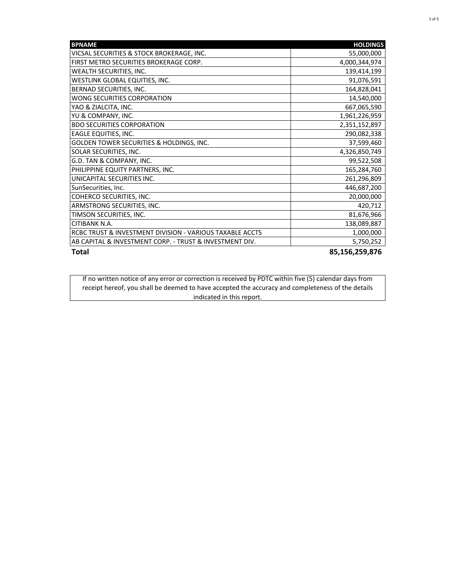| <b>BPNAME</b>                                            | <b>HOLDINGS</b> |
|----------------------------------------------------------|-----------------|
| VICSAL SECURITIES & STOCK BROKERAGE, INC.                | 55,000,000      |
| FIRST METRO SECURITIES BROKERAGE CORP.                   | 4,000,344,974   |
| WEALTH SECURITIES, INC.                                  | 139,414,199     |
| WESTLINK GLOBAL EQUITIES, INC.                           | 91,076,591      |
| BERNAD SECURITIES, INC.                                  | 164,828,041     |
| WONG SECURITIES CORPORATION                              | 14,540,000      |
| YAO & ZIALCITA, INC.                                     | 667,065,590     |
| YU & COMPANY, INC.                                       | 1,961,226,959   |
| <b>BDO SECURITIES CORPORATION</b>                        | 2,351,152,897   |
| EAGLE EQUITIES, INC.                                     | 290,082,338     |
| GOLDEN TOWER SECURITIES & HOLDINGS, INC.                 | 37,599,460      |
| SOLAR SECURITIES, INC.                                   | 4,326,850,749   |
| G.D. TAN & COMPANY, INC.                                 | 99,522,508      |
| PHILIPPINE EQUITY PARTNERS, INC.                         | 165,284,760     |
| UNICAPITAL SECURITIES INC.                               | 261,296,809     |
| SunSecurities, Inc.                                      | 446,687,200     |
| COHERCO SECURITIES, INC.                                 | 20,000,000      |
| ARMSTRONG SECURITIES, INC.                               | 420,712         |
| TIMSON SECURITIES, INC.                                  | 81,676,966      |
| CITIBANK N.A.                                            | 138,089,887     |
| RCBC TRUST & INVESTMENT DIVISION - VARIOUS TAXABLE ACCTS | 1,000,000       |
| AB CAPITAL & INVESTMENT CORP. - TRUST & INVESTMENT DIV.  | 5,750,252       |
| <b>Total</b>                                             | 85,156,259,876  |

If no written notice of any error or correction is received by PDTC within five (5) calendar days from receipt hereof, you shall be deemed to have accepted the accuracy and completeness of the details indicated in this report.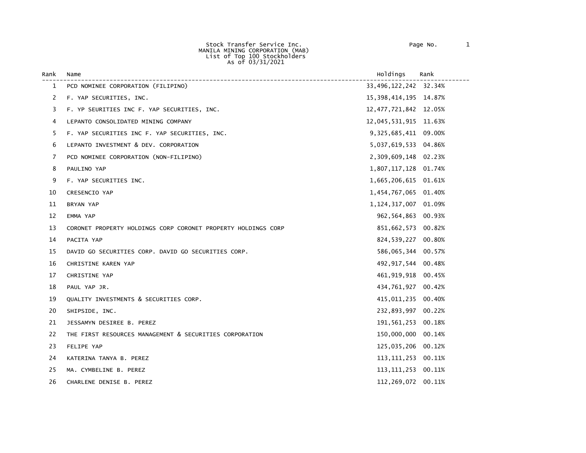Stock Transfer Service Inc. Page No. 1 MANILA MINING CORPORATION (MAB) List of Top 100 Stockholders As of 03/31/2021

| Rank           | Name                                                          | Holdings                 | Rank |
|----------------|---------------------------------------------------------------|--------------------------|------|
| 1              | PCD NOMINEE CORPORATION (FILIPINO)                            | 33, 496, 122, 242 32.34% |      |
| $\overline{2}$ | F. YAP SECURITIES, INC.                                       | 15, 398, 414, 195 14.87% |      |
| 3              | F. YP SEURITIES INC F. YAP SECURITIES, INC.                   | 12, 477, 721, 842 12.05% |      |
| 4              | LEPANTO CONSOLIDATED MINING COMPANY                           | 12,045,531,915 11.63%    |      |
| 5              | F. YAP SECURITIES INC F. YAP SECURITIES, INC.                 | 9,325,685,411 09.00%     |      |
| 6              | LEPANTO INVESTMENT & DEV. CORPORATION                         | 5,037,619,533 04.86%     |      |
| 7              | PCD NOMINEE CORPORATION (NON-FILIPINO)                        | 2,309,609,148 02.23%     |      |
| 8              | PAULINO YAP                                                   | 1,807,117,128 01.74%     |      |
| 9              | F. YAP SECURITIES INC.                                        | 1,665,206,615 01.61%     |      |
| 10             | <b>CRESENCIO YAP</b>                                          | 1,454,767,065 01.40%     |      |
| 11             | BRYAN YAP                                                     | 1, 124, 317, 007 01.09%  |      |
| 12             | EMMA YAP                                                      | 962, 564, 863 00.93%     |      |
| 13             | CORONET PROPERTY HOLDINGS CORP CORONET PROPERTY HOLDINGS CORP | 851,662,573 00.82%       |      |
| 14             | PACITA YAP                                                    | 824,539,227 00.80%       |      |
| 15             | DAVID GO SECURITIES CORP. DAVID GO SECURITIES CORP.           | 586,065,344 00.57%       |      |
| 16             | CHRISTINE KAREN YAP                                           | 492, 917, 544 00.48%     |      |
| 17             | CHRISTINE YAP                                                 | 461, 919, 918 00.45%     |      |
| 18             | PAUL YAP JR.                                                  | 434,761,927 00.42%       |      |
| 19             | QUALITY INVESTMENTS & SECURITIES CORP.                        | 415,011,235 00.40%       |      |
| 20             | SHIPSIDE, INC.                                                | 232,893,997 00.22%       |      |
| 21             | JESSAMYN DESIREE B. PEREZ                                     | 191,561,253 00.18%       |      |
| 22             | THE FIRST RESOURCES MANAGEMENT & SECURITIES CORPORATION       | 150,000,000 00.14%       |      |
| 23             | FELIPE YAP                                                    | 125,035,206 00.12%       |      |
| 24             | KATERINA TANYA B. PEREZ                                       | 113, 111, 253 00. 11%    |      |
| 25             | MA. CYMBELINE B. PEREZ                                        | 113, 111, 253 00. 11%    |      |
| 26             | CHARLENE DENISE B. PEREZ                                      | 112,269,072 00.11%       |      |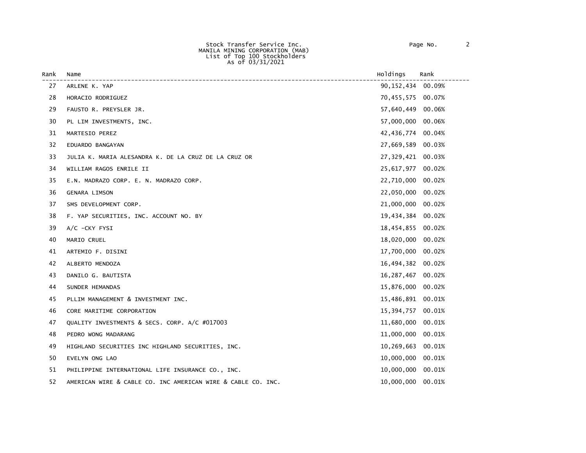Stock Transfer Service Inc. Page No. 2 MANILA MINING CORPORATION (MAB) List of Top 100 Stockholders As of 03/31/2021

| Rank | Name                                                         | Holdings          | Rank   |
|------|--------------------------------------------------------------|-------------------|--------|
| 27   | ARLENE K. YAP                                                | 90,152,434        | 00.09% |
| 28   | HORACIO RODRIGUEZ                                            | 70,455,575        | 00.07% |
| 29   | FAUSTO R. PREYSLER JR.                                       | 57,640,449        | 00.06% |
| 30   | PL LIM INVESTMENTS, INC.                                     | 57,000,000        | 00.06% |
| 31   | MARTESIO PEREZ                                               | 42,436,774        | 00.04% |
| 32   | EDUARDO BANGAYAN                                             | 27,669,589 00.03% |        |
| 33   | JULIA K. MARIA ALESANDRA K. DE LA CRUZ DE LA CRUZ OR         | 27,329,421        | 00.03% |
| 34   | WILLIAM RAGOS ENRILE II                                      | 25,617,977        | 00.02% |
| 35   | E.N. MADRAZO CORP. E. N. MADRAZO CORP.                       | 22,710,000        | 00.02% |
| 36   | <b>GENARA LIMSON</b>                                         | 22,050,000        | 00.02% |
| 37   | SMS DEVELOPMENT CORP.                                        | 21,000,000        | 00.02% |
| 38   | F. YAP SECURITIES, INC. ACCOUNT NO. BY                       | 19,434,384        | 00.02% |
| 39   | $A/C$ -CKY FYSI                                              | 18,454,855        | 00.02% |
| 40   | MARIO CRUEL                                                  | 18,020,000        | 00.02% |
| 41   | ARTEMIO F. DISINI                                            | 17,700,000        | 00.02% |
| 42   | ALBERTO MENDOZA                                              | 16,494,382        | 00.02% |
| 43   | DANILO G. BAUTISTA                                           | 16,287,467        | 00.02% |
| 44   | SUNDER HEMANDAS                                              | 15,876,000        | 00.02% |
| 45   | PLLIM MANAGEMENT & INVESTMENT INC.                           | 15,486,891        | 00.01% |
| 46   | CORE MARITIME CORPORATION                                    | 15,394,757        | 00.01% |
| 47   | QUALITY INVESTMENTS & SECS. CORP. A/C #017003                | 11,680,000        | 00.01% |
| 48   | PEDRO WONG MADARANG                                          | 11,000,000        | 00.01% |
| 49   | HIGHLAND SECURITIES INC HIGHLAND SECURITIES, INC.            | 10,269,663        | 00.01% |
| 50   | EVELYN ONG LAO                                               | 10,000,000        | 00.01% |
| 51   | PHILIPPINE INTERNATIONAL LIFE INSURANCE CO., INC.            | 10,000,000        | 00.01% |
| 52   | AMERICAN WIRE & CABLE CO. INC AMERICAN WIRE & CABLE CO. INC. | 10,000,000        | 00.01% |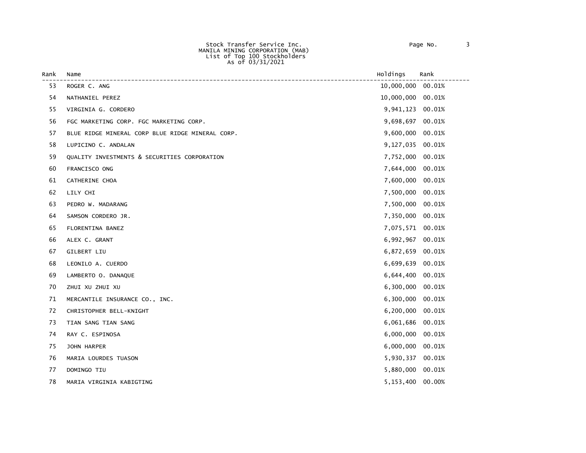Stock Transfer Service Inc. Page No. 3 MANILA MINING CORPORATION (MAB) List of Top 100 Stockholders As of 03/31/2021

| Rank | Name                                             | Holdings         | Rank   |
|------|--------------------------------------------------|------------------|--------|
| 53   | ROGER C. ANG                                     | 10,000,000       | 00.01% |
| 54   | NATHANIEL PEREZ                                  | 10,000,000       | 00.01% |
| 55   | VIRGINIA G. CORDERO                              | 9,941,123        | 00.01% |
| 56   | FGC MARKETING CORP. FGC MARKETING CORP.          | 9,698,697        | 00.01% |
| 57   | BLUE RIDGE MINERAL CORP BLUE RIDGE MINERAL CORP. | 9,600,000        | 00.01% |
| 58   | LUPICINO C. ANDALAN                              | 9,127,035        | 00.01% |
| 59   | QUALITY INVESTMENTS & SECURITIES CORPORATION     | 7,752,000        | 00.01% |
| 60   | FRANCISCO ONG                                    | 7,644,000        | 00.01% |
| 61   | CATHERINE CHOA                                   | 7,600,000        | 00.01% |
| 62   | LILY CHI                                         | 7,500,000        | 00.01% |
| 63   | PEDRO W. MADARANG                                | 7,500,000        | 00.01% |
| 64   | SAMSON CORDERO JR.                               | 7,350,000        | 00.01% |
| 65   | FLORENTINA BANEZ                                 | 7,075,571 00.01% |        |
| 66   | ALEX C. GRANT                                    | 6,992,967        | 00.01% |
| 67   | GILBERT LIU                                      | 6,872,659        | 00.01% |
| 68   | LEONILO A. CUERDO                                | 6,699,639        | 00.01% |
| 69   | LAMBERTO O. DANAQUE                              | 6,644,400        | 00.01% |
| 70   | ZHUI XU ZHUI XU                                  | 6,300,000        | 00.01% |
| 71   | MERCANTILE INSURANCE CO., INC.                   | 6,300,000        | 00.01% |
| 72   | CHRISTOPHER BELL-KNIGHT                          | 6,200,000        | 00.01% |
| 73   | TIAN SANG TIAN SANG                              | 6,061,686        | 00.01% |
| 74   | RAY C. ESPINOSA                                  | 6,000,000        | 00.01% |
| 75   | JOHN HARPER                                      | 6,000,000        | 00.01% |
| 76   | MARIA LOURDES TUASON                             | 5,930,337        | 00.01% |
| 77   | DOMINGO TIU                                      | 5,880,000        | 00.01% |
| 78   | MARIA VIRGINIA KABIGTING                         | 5,153,400        | 00.00% |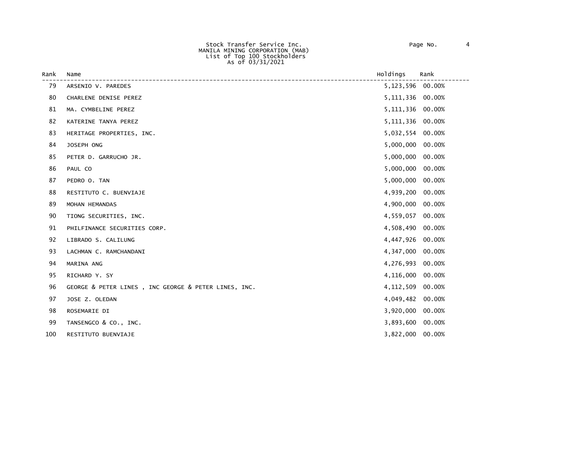Stock Transfer Service Inc. Page No. 4 MANILA MINING CORPORATION (MAB) List of Top 100 Stockholders As of 03/31/2021

| Rank | Name                                                 | Holdings    | Rank   |
|------|------------------------------------------------------|-------------|--------|
| 79   | ARSENIO V. PAREDES                                   | 5,123,596   | 00.00% |
| 80   | CHARLENE DENISE PEREZ                                | 5, 111, 336 | 00.00% |
| 81   | MA. CYMBELINE PEREZ                                  | 5, 111, 336 | 00.00% |
| 82   | KATERINE TANYA PEREZ                                 | 5, 111, 336 | 00.00% |
| 83   | HERITAGE PROPERTIES, INC.                            | 5,032,554   | 00.00% |
| 84   | JOSEPH ONG                                           | 5,000,000   | 00.00% |
| 85   | PETER D. GARRUCHO JR.                                | 5,000,000   | 00.00% |
| 86   | PAUL CO                                              | 5,000,000   | 00.00% |
| 87   | PEDRO O. TAN                                         | 5,000,000   | 00.00% |
| 88   | RESTITUTO C. BUENVIAJE                               | 4,939,200   | 00.00% |
| 89   | MOHAN HEMANDAS                                       | 4,900,000   | 00.00% |
| 90   | TIONG SECURITIES, INC.                               | 4,559,057   | 00.00% |
| 91   | PHILFINANCE SECURITIES CORP.                         | 4,508,490   | 00.00% |
| 92   | LIBRADO S. CALILUNG                                  | 4,447,926   | 00.00% |
| 93   | LACHMAN C. RAMCHANDANI                               | 4,347,000   | 00.00% |
| 94   | MARINA ANG                                           | 4,276,993   | 00.00% |
| 95   | RICHARD Y. SY                                        | 4,116,000   | 00.00% |
| 96   | GEORGE & PETER LINES, INC GEORGE & PETER LINES, INC. | 4,112,509   | 00.00% |
| 97   | JOSE Z. OLEDAN                                       | 4,049,482   | 00.00% |
| 98   | ROSEMARIE DI                                         | 3,920,000   | 00.00% |
| 99   | TANSENGCO & CO., INC.                                | 3,893,600   | 00.00% |
| 100  | RESTITUTO BUENVIAJE                                  | 3,822,000   | 00.00% |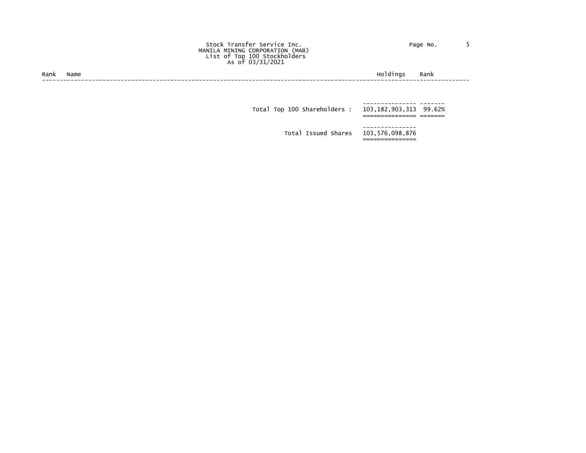| Page No. |  |  |
|----------|--|--|
|----------|--|--|

## Stock Transfer Service Inc. Page No. 5 MANILA MINING CORPORATION (MAB) List of Top 100 Stockholders As of 03/31/2021

Rank Name Holdings Rank ------------------------------------------------------------------------------------------------------------------------

 --------------- ------- Total Top 100 Shareholders : 103,182,903,313 99.62% =============== ======= --------------- Total Issued Shares 103,576,098,876 ===============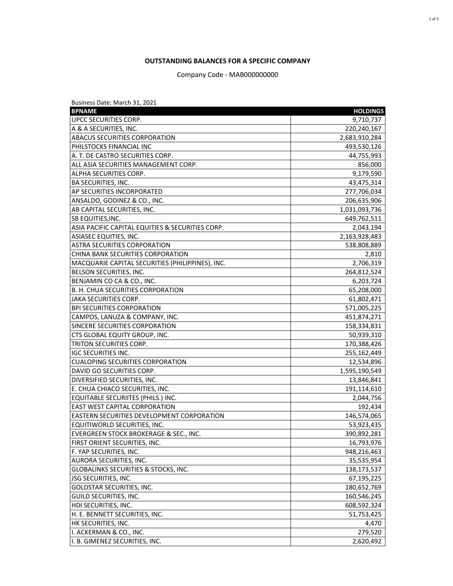## **OUTSTANDING BALANCES FOR A SPECIFIC COMPANY**

Company Code - MAB000000000

| Business Date: March 31, 2021                     |                 |
|---------------------------------------------------|-----------------|
| <b>BPNAME</b>                                     | <b>HOLDINGS</b> |
| UPCC SECURITIES CORP.                             | 9,710,737       |
| A & A SECURITIES, INC.                            | 220,240,167     |
| ABACUS SECURITIES CORPORATION                     | 2,683,910,284   |
| PHILSTOCKS FINANCIAL INC                          | 493,530,126     |
| A. T. DE CASTRO SECURITIES CORP.                  | 44,755,993      |
| ALL ASIA SECURITIES MANAGEMENT CORP.              | 856,000         |
| ALPHA SECURITIES CORP.                            | 9,179,590       |
| BA SECURITIES, INC.                               | 43,475,314      |
| AP SECURITIES INCORPORATED                        | 277,706,034     |
| ANSALDO, GODINEZ & CO., INC.                      | 206,635,906     |
| AB CAPITAL SECURITIES, INC.                       | 1,031,093,736   |
| SB EQUITIES, INC.                                 | 649,762,511     |
| ASIA PACIFIC CAPITAL EQUITIES & SECURITIES CORP.  | 2,043,194       |
| ASIASEC EQUITIES, INC.                            | 2,163,928,483   |
| <b>ASTRA SECURITIES CORPORATION</b>               | 538,808,889     |
| CHINA BANK SECURITIES CORPORATION                 | 2,810           |
| MACQUARIE CAPITAL SECURITIES (PHILIPPINES), INC.  | 2,706,319       |
| BELSON SECURITIES, INC.                           | 264,812,524     |
| BENJAMIN CO CA & CO., INC.                        | 6,203,724       |
| B. H. CHUA SECURITIES CORPORATION                 | 65,208,000      |
| <b>JAKA SECURITIES CORP.</b>                      | 61,802,471      |
| <b>BPI SECURITIES CORPORATION</b>                 | 571,005,225     |
| CAMPOS, LANUZA & COMPANY, INC.                    | 451,874,271     |
| SINCERE SECURITIES CORPORATION                    | 158,334,831     |
| CTS GLOBAL EQUITY GROUP, INC.                     | 50,939,310      |
| TRITON SECURITIES CORP.                           | 170,388,426     |
| <b>IGC SECURITIES INC.</b>                        | 255,162,449     |
| <b>CUALOPING SECURITIES CORPORATION</b>           | 12,534,896      |
| DAVID GO SECURITIES CORP.                         | 1,595,190,549   |
| DIVERSIFIED SECURITIES, INC.                      | 13,846,841      |
| E. CHUA CHIACO SECURITIES, INC.                   | 191,114,610     |
| EQUITABLE SECURIITES (PHILS.) INC.                | 2,044,756       |
| <b>EAST WEST CAPITAL CORPORATION</b>              | 192,434         |
| <b>EASTERN SECURITIES DEVELOPMENT CORPORATION</b> | 146,574,065     |
| EQUITIWORLD SECURITIES, INC.                      | 53,923,435      |
| EVERGREEN STOCK BROKERAGE & SEC., INC.            | 390,892,281     |
| FIRST ORIENT SECURITIES, INC.                     | 16,793,976      |
| F. YAP SECURITIES, INC.                           | 948,216,463     |
| AURORA SECURITIES, INC.                           | 35,535,954      |
| <b>GLOBALINKS SECURITIES &amp; STOCKS, INC.</b>   | 138,173,537     |
| <b>JSG SECURITIES, INC.</b>                       | 67,195,225      |
| <b>GOLDSTAR SECURITIES, INC.</b>                  | 180,652,769     |
| GUILD SECURITIES, INC.                            | 160,546,245     |
| HDI SECURITIES, INC.                              | 608,592,324     |
| H. E. BENNETT SECURITIES, INC.                    | 51,753,425      |
| HK SECURITIES, INC.                               | 4,470           |
| I. ACKERMAN & CO., INC.                           | 279,520         |
| I. B. GIMENEZ SECURITIES, INC.                    | 2,620,492       |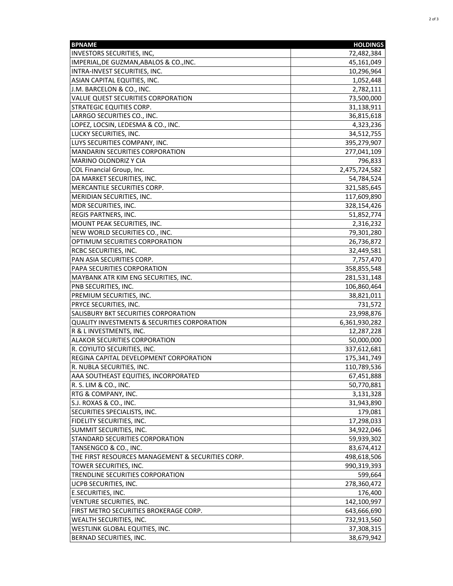| <b>BPNAME</b>                                           | <b>HOLDINGS</b> |
|---------------------------------------------------------|-----------------|
| <b>INVESTORS SECURITIES, INC,</b>                       | 72,482,384      |
| IMPERIAL, DE GUZMAN, ABALOS & CO., INC.                 | 45,161,049      |
| INTRA-INVEST SECURITIES, INC.                           | 10,296,964      |
| ASIAN CAPITAL EQUITIES, INC.                            | 1,052,448       |
| J.M. BARCELON & CO., INC.                               | 2,782,111       |
| VALUE QUEST SECURITIES CORPORATION                      | 73,500,000      |
| <b>STRATEGIC EQUITIES CORP.</b>                         | 31,138,911      |
| LARRGO SECURITIES CO., INC.                             | 36,815,618      |
| LOPEZ, LOCSIN, LEDESMA & CO., INC.                      | 4,323,236       |
| LUCKY SECURITIES, INC.                                  | 34,512,755      |
| LUYS SECURITIES COMPANY, INC.                           | 395,279,907     |
| MANDARIN SECURITIES CORPORATION                         | 277,041,109     |
| <b>MARINO OLONDRIZ Y CIA</b>                            | 796,833         |
| COL Financial Group, Inc.                               | 2,475,724,582   |
| DA MARKET SECURITIES, INC.                              | 54,784,524      |
|                                                         |                 |
| MERCANTILE SECURITIES CORP.                             | 321,585,645     |
| MERIDIAN SECURITIES, INC.                               | 117,609,890     |
| MDR SECURITIES, INC.                                    | 328,154,426     |
| REGIS PARTNERS, INC.                                    | 51,852,774      |
| MOUNT PEAK SECURITIES, INC.                             | 2,316,232       |
| NEW WORLD SECURITIES CO., INC.                          | 79,301,280      |
| OPTIMUM SECURITIES CORPORATION                          | 26,736,872      |
| <b>RCBC SECURITIES, INC.</b>                            | 32,449,581      |
| PAN ASIA SECURITIES CORP.                               | 7,757,470       |
| PAPA SECURITIES CORPORATION                             | 358,855,548     |
| MAYBANK ATR KIM ENG SECURITIES, INC.                    | 281,531,148     |
| PNB SECURITIES, INC.                                    | 106,860,464     |
| PREMIUM SECURITIES, INC.                                | 38,821,011      |
| PRYCE SECURITIES, INC.                                  | 731,572         |
| SALISBURY BKT SECURITIES CORPORATION                    | 23,998,876      |
| <b>QUALITY INVESTMENTS &amp; SECURITIES CORPORATION</b> | 6,361,930,282   |
| R & L INVESTMENTS, INC.                                 | 12,287,228      |
| ALAKOR SECURITIES CORPORATION                           | 50,000,000      |
| R. COYIUTO SECURITIES, INC.                             | 337,612,681     |
| REGINA CAPITAL DEVELOPMENT CORPORATION                  | 175,341,749     |
| R. NUBLA SECURITIES, INC.                               | 110,789,536     |
| AAA SOUTHEAST EQUITIES, INCORPORATED                    | 67,451,888      |
| R. S. LIM & CO., INC.                                   | 50,770,881      |
| RTG & COMPANY, INC.                                     | 3,131,328       |
| S.J. ROXAS & CO., INC.                                  | 31,943,890      |
| SECURITIES SPECIALISTS, INC.                            | 179,081         |
| <b>FIDELITY SECURITIES, INC.</b>                        | 17,298,033      |
| SUMMIT SECURITIES, INC.                                 | 34,922,046      |
| STANDARD SECURITIES CORPORATION                         | 59,939,302      |
| TANSENGCO & CO., INC.                                   | 83,674,412      |
| THE FIRST RESOURCES MANAGEMENT & SECURITIES CORP.       | 498,618,506     |
| TOWER SECURITIES, INC.                                  | 990,319,393     |
| TRENDLINE SECURITIES CORPORATION                        | 599,664         |
| UCPB SECURITIES, INC.                                   | 278,360,472     |
| <b>E.SECURITIES, INC.</b>                               | 176,400         |
| VENTURE SECURITIES, INC.                                | 142,100,997     |
| FIRST METRO SECURITIES BROKERAGE CORP.                  |                 |
|                                                         | 643,666,690     |
| WEALTH SECURITIES, INC.                                 | 732,913,560     |
| WESTLINK GLOBAL EQUITIES, INC.                          | 37,308,315      |
| BERNAD SECURITIES, INC.                                 | 38,679,942      |